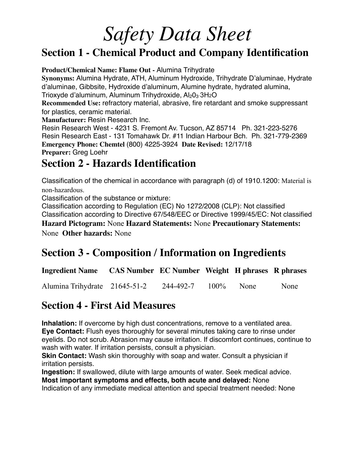#### **Section 1 - Chemical Product and Company Identification**

**Product/Chemical Name: Flame Out -** Alumina Trihydrate

**Synonyms:** Alumina Hydrate, ATH, Aluminum Hydroxide, Trihydrate D'aluminae, Hydrate d'aluminae, Gibbsite, Hydroxide d'aluminum, Alumine hydrate, hydrated alumina,

Trioxyde d'aluminum, Aluminum Trihydroxide,  $Al_2O_3 \cdot 3H_2O$ 

**Recommended Use:** refractory material, abrasive, fire retardant and smoke suppressant for plastics, ceramic material.

**Manufacturer:** Resin Research Inc.

Resin Research West - 4231 S. Fremont Av. Tucson, AZ 85714 Ph. 321-223-5276 Resin Research East - 131 Tomahawk Dr. #11 Indian Harbour Bch. Ph. 321-779-2369 **Emergency Phone: Chemtel** (800) 4225-3924 **Date Revised:** 12/17/18 **Preparer:** Greg Loehr

**Section 2 - Hazards Identification** 

Classification of the chemical in accordance with paragraph (d) of 1910.1200: Material is non-hazardous.

Classification of the substance or mixture:

Classification according to Regulation (EC) No 1272/2008 (CLP): Not classified Classification according to Directive 67/548/EEC or Directive 1999/45/EC: Not classified **Hazard Pictogram:** None **Hazard Statements:** None **Precautionary Statements:**  None **Other hazards:** None

#### **Section 3 - Composition / Information on Ingredients**

**Ingredient Name CAS Number EC Number Weight H phrases R phrases** 

Alumina Trihydrate 21645-51-2 244-492-7 100% None None

#### **Section 4 - First Aid Measures**

**Inhalation:** If overcome by high dust concentrations, remove to a ventilated area. **Eye Contact:** Flush eyes thoroughly for several minutes taking care to rinse under eyelids. Do not scrub. Abrasion may cause irritation. If discomfort continues, continue to wash with water. If irritation persists, consult a physician.

**Skin Contact:** Wash skin thoroughly with soap and water. Consult a physician if irritation persists.

**Ingestion:** If swallowed, dilute with large amounts of water. Seek medical advice. **Most important symptoms and effects, both acute and delayed:** None

Indication of any immediate medical attention and special treatment needed: None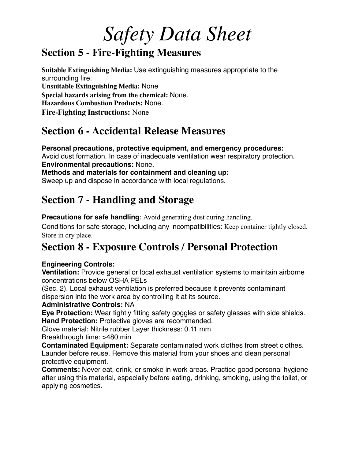### **Section 5 - Fire-Fighting Measures**

**Suitable Extinguishing Media:** Use extinguishing measures appropriate to the surrounding fire. **Unsuitable Extinguishing Media:** None **Special hazards arising from the chemical:** None. **Hazardous Combustion Products:** None. **Fire-Fighting Instructions:** None

### **Section 6 - Accidental Release Measures**

**Personal precautions, protective equipment, and emergency procedures:**  Avoid dust formation. In case of inadequate ventilation wear respiratory protection. **Environmental precautions:** None.

**Methods and materials for containment and cleaning up:**  Sweep up and dispose in accordance with local regulations.

## **Section 7 - Handling and Storage**

**Precautions for safe handling**: Avoid generating dust during handling.

Conditions for safe storage, including any incompatibilities: Keep container tightly closed. Store in dry place.

## **Section 8 - Exposure Controls / Personal Protection**

#### **Engineering Controls:**

**Ventilation:** Provide general or local exhaust ventilation systems to maintain airborne concentrations below OSHA PELs

(Sec. 2). Local exhaust ventilation is preferred because it prevents contaminant dispersion into the work area by controlling it at its source.

#### **Administrative Controls:** NA

**Eye Protection:** Wear tightly fitting safety goggles or safety glasses with side shields. **Hand Protection:** Protective gloves are recommended.

Glove material: Nitrile rubber Layer thickness: 0.11 mm

Breakthrough time: >480 min

**Contaminated Equipment:** Separate contaminated work clothes from street clothes. Launder before reuse. Remove this material from your shoes and clean personal protective equipment.

**Comments:** Never eat, drink, or smoke in work areas. Practice good personal hygiene after using this material, especially before eating, drinking, smoking, using the toilet, or applying cosmetics.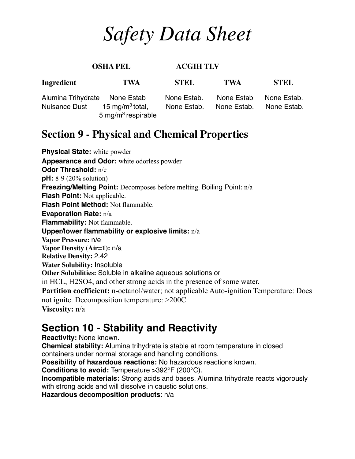| <b>OSHA PEL</b>                     |                                           | <b>ACGIH TLV</b>           |                           |                            |
|-------------------------------------|-------------------------------------------|----------------------------|---------------------------|----------------------------|
| Ingredient                          | <b>TWA</b>                                | <b>STEL</b>                | <b>TWA</b>                | <b>STEL</b>                |
| Alumina Trihydrate<br>Nuisance Dust | None Estab<br>15 mg/m <sup>3</sup> total, | None Estab.<br>None Estab. | None Estab<br>None Estab. | None Estab.<br>None Estab. |
|                                     | 5 mg/m <sup>3</sup> respirable            |                            |                           |                            |

#### **Section 9 - Physical and Chemical Properties**

**Physical State:** white powder **Appearance and Odor:** white odorless powder **Odor Threshold:** n/e **pH:** 8-9 (20% solution) **Freezing/Melting Point:** Decomposes before melting. Boiling Point: n/a **Flash Point:** Not applicable. **Flash Point Method:** Not flammable. **Evaporation Rate:** n/a **Flammability:** Not flammable. **Upper/lower flammability or explosive limits:** n/a **Vapor Pressure:** n/e **Vapor Density (Air=1):** n/a **Relative Density:** 2.42 **Water Solubility:** Insoluble **Other Solubilities:** Soluble in alkaline aqueous solutions or in HCL, H2SO4, and other strong acids in the presence of some water. **Partition coefficient:** n-octanol/water; not applicable Auto-ignition Temperature: Does not ignite. Decomposition temperature: >200C **Viscosity:** n/a

### **Section 10 - Stability and Reactivity**

**Reactivity:** None known.

**Chemical stability:** Alumina trihydrate is stable at room temperature in closed containers under normal storage and handling conditions.

**Possibility of hazardous reactions:** No hazardous reactions known.

**Conditions to avoid:** Temperature >392°F (200°C).

**Incompatible materials:** Strong acids and bases. Alumina trihydrate reacts vigorously with strong acids and will dissolve in caustic solutions.

**Hazardous decomposition products**: n/a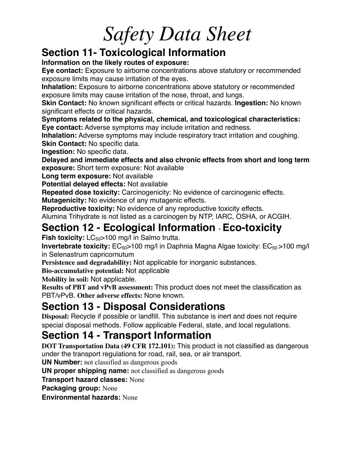#### **Section 11- Toxicological Information**

**Information on the likely routes of exposure:**

**Eye contact:** Exposure to airborne concentrations above statutory or recommended exposure limits may cause irritation of the eyes.

**Inhalation:** Exposure to airborne concentrations above statutory or recommended exposure limits may cause irritation of the nose, throat, and lungs.

**Skin Contact:** No known significant effects or critical hazards. **Ingestion:** No known significant effects or critical hazards.

**Symptoms related to the physical, chemical, and toxicological characteristics: Eye contact:** Adverse symptoms may include irritation and redness.

**Inhalation:** Adverse symptoms may include respiratory tract irritation and coughing. **Skin Contact:** No specific data.

**Ingestion:** No specific data.

**Delayed and immediate effects and also chronic effects from short and long term exposure:** Short term exposure: Not available

**Long term exposure:** Not available

**Potential delayed effects:** Not available

**Repeated dose toxicity:** Carcinogenicity: No evidence of carcinogenic effects.

**Mutagenicity:** No evidence of any mutagenic effects.

**Reproductive toxicity:** No evidence of any reproductive toxicity effects.

Alumina Trihydrate is not listed as a carcinogen by NTP, IARC, OSHA, or ACGIH.

## **Section 12 - Ecological Information** - **Eco-toxicity**

**Fish toxicity:** LC<sub>50</sub>>100 mg/l in Salmo trutta.

**Invertebrate toxicity:**  $EC_{50}$  > 100 mg/l in Daphnia Magna Algae toxicity:  $EC_{50}$  > 100 mg/l in Selenastrum capricornutum

**Persistence and degradability:** Not applicable for inorganic substances.

**Bio-accumulative potential:** Not applicable

**Mobility in soil:** Not applicable.

**Results of PBT and vPvB assessment:** This product does not meet the classification as PBT/vPvB. **Other adverse effects:** None known.

## **Section 13 - Disposal Considerations**

**Disposal:** Recycle if possible or landfill. This substance is inert and does not require special disposal methods. Follow applicable Federal, state, and local regulations.

## **Section 14 - Transport Information**

**DOT Transportation Data (49 CFR 172.101):** This product is not classified as dangerous under the transport regulations for road, rail, sea, or air transport.

**UN Number:** not classified as dangerous goods

**UN proper shipping name:** not classified as dangerous goods

**Transport hazard classes:** None

**Packaging group:** None

**Environmental hazards:** None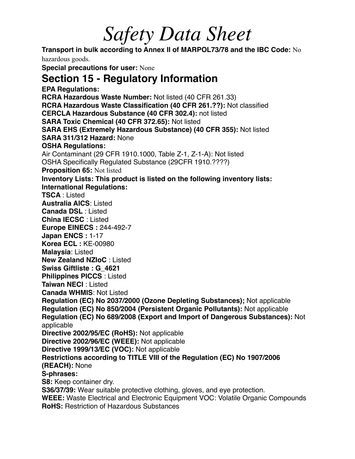**Transport in bulk according to Annex II of MARPOL73/78 and the IBC Code:** No hazardous goods. **Special precautions for user:** None **Section 15 - Regulatory Information EPA Regulations: RCRA Hazardous Waste Number:** Not listed (40 CFR 261.33) **RCRA Hazardous Waste Classification (40 CFR 261.??):** Not classified **CERCLA Hazardous Substance (40 CFR 302.4):** not listed **SARA Toxic Chemical (40 CFR 372.65):** Not listed **SARA EHS (Extremely Hazardous Substance) (40 CFR 355):** Not listed **SARA 311/312 Hazard:** None **OSHA Regulations:**  Air Contaminant (29 CFR 1910.1000, Table Z-1, Z-1-A): Not listed OSHA Specifically Regulated Substance (29CFR 1910.????) **Proposition 65:** Not listed **Inventory Lists: This product is listed on the following inventory lists: International Regulations: TSCA** : Listed **Australia AICS**: Listed **Canada DSL** : Listed **China IECSC** : Listed **Europe EINECS :** 244-492-7 **Japan ENCS :** 1-17 **Korea ECL :** KE-00980 **Malaysia**: Listed **New Zealand NZIoC** : Listed **Swiss Giftliste : G\_4621 Philippines PICCS** : Listed **Taiwan NECI** : Listed **Canada WHMIS**: Not Listed **Regulation (EC) No 2037/2000 (Ozone Depleting Substances);** Not applicable **Regulation (EC) No 850/2004 (Persistent Organic Pollutants):** Not applicable **Regulation (EC) No 689/2008 (Export and Import of Dangerous Substances):** Not applicable **Directive 2002/95/EC (RoHS):** Not applicable **Directive 2002/96/EC (WEEE):** Not applicable **Directive 1999/13/EC (VOC):** Not applicable **Restrictions according to TITLE VIII of the Regulation (EC) No 1907/2006 (REACH):** None **S-phrases: S8:** Keep container dry. **S36/37/39:** Wear suitable protective clothing, gloves, and eye protection. **WEEE:** Waste Electrical and Electronic Equipment VOC: Volatile Organic Compounds **RoHS:** Restriction of Hazardous Substances